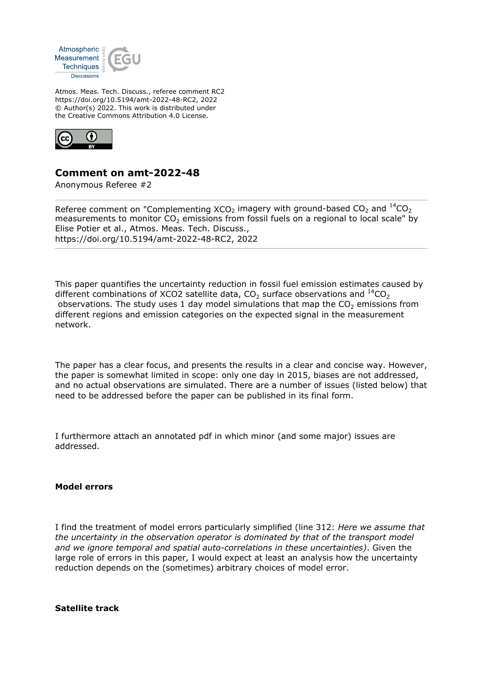

Atmos. Meas. Tech. Discuss., referee comment RC2 https://doi.org/10.5194/amt-2022-48-RC2, 2022 © Author(s) 2022. This work is distributed under the Creative Commons Attribution 4.0 License.



## **Comment on amt-2022-48**

Anonymous Referee #2

Referee comment on "Complementing  $XCO<sub>2</sub>$  imagery with ground-based  $CO<sub>2</sub>$  and  $^{14}CO<sub>2</sub>$ measurements to monitor  $CO<sub>2</sub>$  emissions from fossil fuels on a regional to local scale" by Elise Potier et al., Atmos. Meas. Tech. Discuss., https://doi.org/10.5194/amt-2022-48-RC2, 2022

This paper quantifies the uncertainty reduction in fossil fuel emission estimates caused by different combinations of XCO2 satellite data,  $CO_2$  surface observations and  $^{14}CO_2$ observations. The study uses 1 day model simulations that map the  $CO<sub>2</sub>$  emissions from different regions and emission categories on the expected signal in the measurement network.

The paper has a clear focus, and presents the results in a clear and concise way. However, the paper is somewhat limited in scope: only one day in 2015, biases are not addressed, and no actual observations are simulated. There are a number of issues (listed below) that need to be addressed before the paper can be published in its final form.

I furthermore attach an annotated pdf in which minor (and some major) issues are addressed.

## **Model errors**

I find the treatment of model errors particularly simplified (line 312: *Here we assume that the uncertainty in the observation operator is dominated by that of the transport model and we ignore temporal and spatial auto-correlations in these uncertainties)*. Given the large role of errors in this paper, I would expect at least an analysis how the uncertainty reduction depends on the (sometimes) arbitrary choices of model error.

**Satellite track**